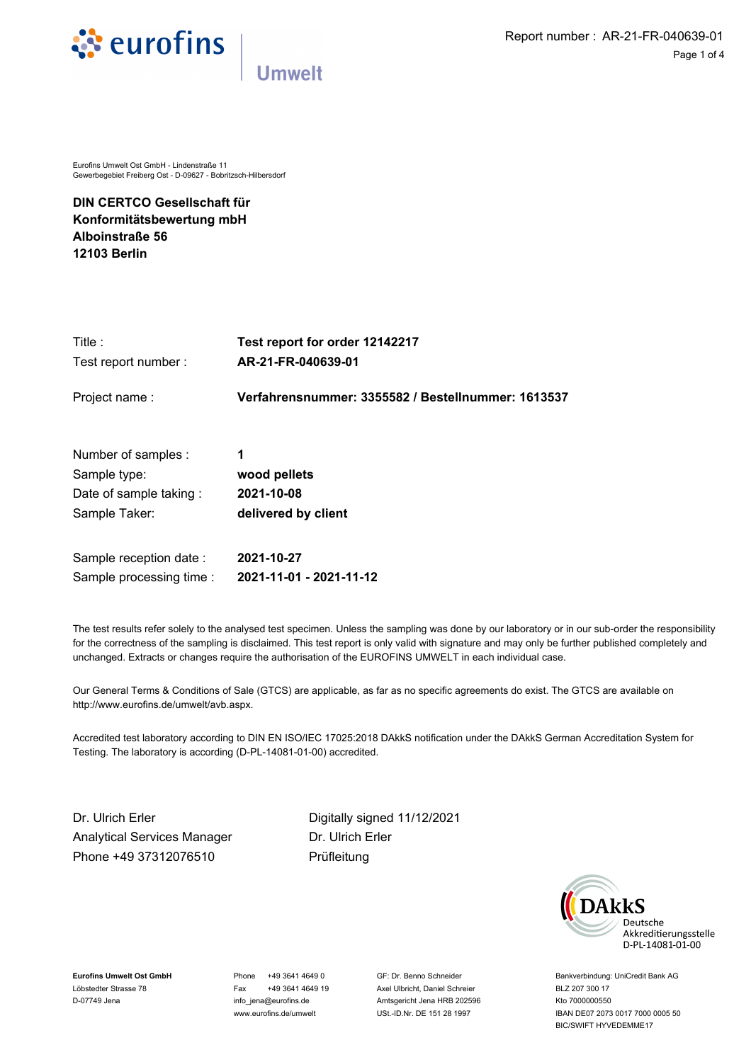

Eurofins Umwelt Ost GmbH - Lindenstraße 11 Gewerbegebiet Freiberg Ost - D-09627 - Bobritzsch-Hilbersdorf

**DIN CERTCO Gesellschaft für Konformitätsbewertung mbH Alboinstraße 56 12103 Berlin**

| Title:<br>Test report number:<br>Project name: | Test report for order 12142217<br>AR-21-FR-040639-01<br>Verfahrensnummer: 3355582 / Bestellnummer: 1613537 |                     |              |
|------------------------------------------------|------------------------------------------------------------------------------------------------------------|---------------------|--------------|
|                                                |                                                                                                            | Number of samples : | 1            |
|                                                |                                                                                                            | Sample type:        | wood pellets |
| Date of sample taking:                         | 2021-10-08                                                                                                 |                     |              |
| Sample Taker:                                  | delivered by client                                                                                        |                     |              |
| Sample reception date:                         | 2021-10-27                                                                                                 |                     |              |
| Sample processing time :                       | 2021-11-01 - 2021-11-12                                                                                    |                     |              |

The test results refer solely to the analysed test specimen. Unless the sampling was done by our laboratory or in our sub-order the responsibility for the correctness of the sampling is disclaimed. This test report is only valid with signature and may only be further published completely and unchanged. Extracts or changes require the authorisation of the EUROFINS UMWELT in each individual case.

Our General Terms & Conditions of Sale (GTCS) are applicable, as far as no specific agreements do exist. The GTCS are available on http://www.eurofins.de/umwelt/avb.aspx.

Accredited test laboratory according to DIN EN ISO/IEC 17025:2018 DAkkS notification under the DAkkS German Accreditation System for Testing. The laboratory is according (D-PL-14081-01-00) accredited.

Dr. Ulrich Erler Digitally signed {{SIGNATURE\_DATE}} 11/12/2021 Analytical Services Manager Phone +49 37312076510

Dr. Ulrich Erler Prüfleitung



**Eurofins Umwelt Ost GmbH** Löbstedter Strasse 78 D-07749 Jena

Phone +49 3641 4649 0 Fax +49 3641 4649 19 info\_jena@eurofins.de www.eurofins.de/umwelt

GF: Dr. Benno Schneider Axel Ulbricht, Daniel Schreier Amtsgericht Jena HRB 202596 USt.-ID.Nr. DE 151 28 1997

Bankverbindung: UniCredit Bank AG BLZ 207 300 17 Kto 7000000550 IBAN DE07 2073 0017 7000 0005 50 BIC/SWIFT HYVEDEMME17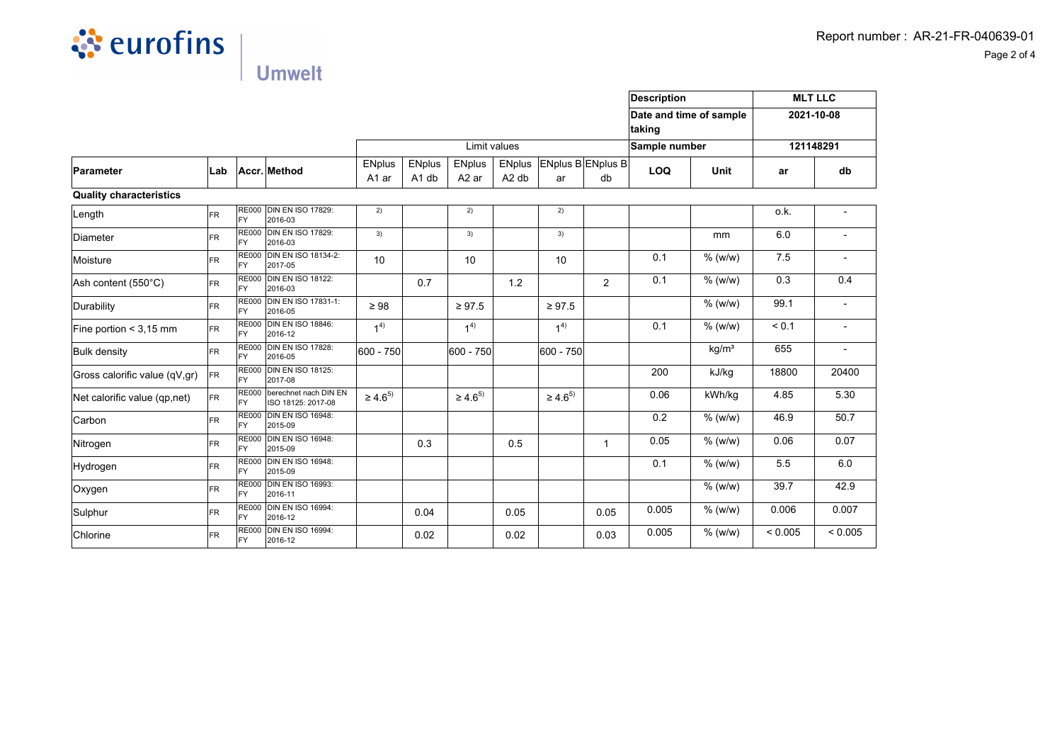

**Umwelt** 

**Parameter Lab Accr. Method** Limit values **ENplus** A1 ar ENplus A1 db ENplus A2 ar ENplus A2 db ENplus B ENplus B ar db **Quality characteristics**  $\vert$  Length  $\vert$  FR FY RE000 DIN EN ISO 17829: 2016-03 2) 2) 2)  $\vert$ Diameter FR FY RE000 DIN EN ISO 17829: 2016-03 3) 3) 3) mm Moisture FR RE000 FY **DIN EN ISO 18134-2:** DINEN ISO 18134-2: | 10 | 10 | 10 | 10 | 10 | 0.1 | % (w/w)<br>2017-05  $\overline{\mathsf{Ash}}$  content (550 $^{\circ}$ C) FR RE000 FY **DIN EN ISO 18122:**  $2016-03$  2016-03  $2016-03$  1.2  $2016-03$  $0.1$  % (w/w)  $Durability$  FR FY RE000 DIN EN ISO 17831-1:<br>FY 2016-05 DIN EN ISO 17831-1:  $\Big|$  ≥ 98  $\Big|$  ≥ 97.5  $\Big|$  ≥ 97.5  $\Big|$   $\Big|$  2 97.5  $\Big|$   $\Big|$   $\Big|$   $\Big|$   $\Big|$   $\Big|$   $\Big|$   $\Big|$   $\Big|$   $\Big|$   $\Big|$   $\Big|$   $\Big|$   $\Big|$   $\Big|$   $\Big|$   $\Big|$   $\Big|$   $\Big|$   $\Big|$   $\Big|$   $\Big|$   $\Big|$   $\Big|$  Fine portion  $\lt 3,15$  mm FR RE000 FY **DIN EN ISO 18846:** 2016-12  $1<sup>4</sup>$ 1 4)  $1<sup>4</sup>$  $0.1$  % (w/w) Bulk density FR RE000 FY DIN EN ISO 17828:<br>2016-05 DIN EN ISO 17828:  $\begin{vmatrix} 600 & -750 \end{vmatrix}$  600 - 750 600 - 750 kg/m<sup>3</sup> Gross calorific value  $(qV,qr)$  FR FY RE000 DIN EN ISO 18125: 2017-08 200 kJ/kg Net calorific value  $(qp,net)$  FR RE000 FY berechnet nach DIN EN | berechnet nach DIN EN  $\Big|$  ≥ 4.6<sup>5)</sup><br>| ISO 18125: 2017-08  $\geq 4.6^{5}$  $≥ 4.6^{5}$  0.06 kWh/kg Carbon FR RE000 FY **DIN EN ISO 16948:** 2015-09  $0.2$  % (w/w) Nitrogen FR RE000 FY DIN EN ISO 16948:<br>2015-09  $2015-09$  0.3 0.5 10946.  $0.05$  % (w/w) Hydrogen FR RE000 FY **DIN EN ISO 16948:** 2015-09  $0.1$  % (w/w) Oxygen FR RE000 FY **DIN EN ISO 16993:** 2016-11 % (w/w)  $\begin{array}{ccc} \text{Sub} & \text{in} & \text{[R1]} \\ \text{Sub} & \text{in} & \text{[R2]} \\ \text{Sub} & \text{in} & \text{[R3]} \end{array}$ FY DIN EN ISO 16994:<br>2016-12 2016-12 0.04 0.05 0.05 0.005 % (w/w) Chlorine FR FY RE000 DIN EN ISO 16994: 2016-12 0.02 0.02 0.03 0.005 % (w/w) **Description Date and time of sample taking Sample number LOQ Unit MLT LLC 2021-10-08 121148291 ar** o.k. 6.0 7.5 0.3 99.1  $< 0.1$ 655 18800 4.85 46.9 0.06 5.5 39.7 0.006  $< 0.005$ **db** - - - 0.4 - - - 20400 5.30 50.7 0.07 6.0 42.9 0.007  $< 0.005$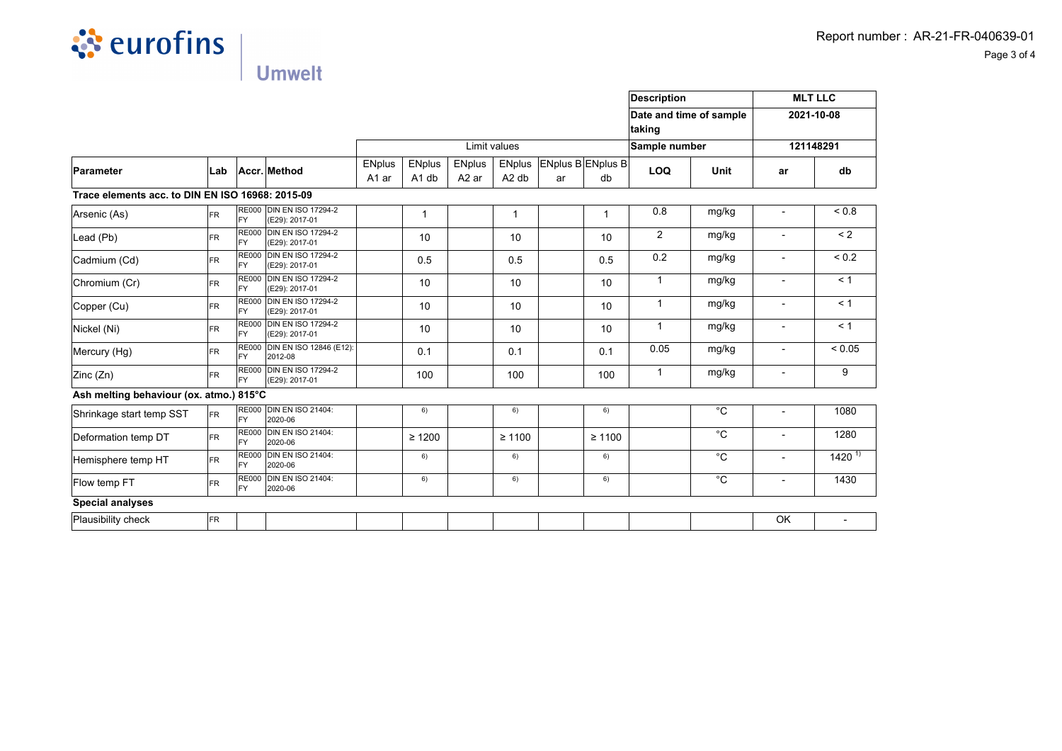

**Umwelt** 

**Parameter Lab Accr. Method** Limit values **ENplus** A1 ar ENplus A1 db ENplus A2 ar ENplus A2 db ENplus B ENplus B ar db **Trace elements acc. to DIN EN ISO 16968: 2015-09**  $|$ Arsenic (As)  $|$ FR FY RE000 DIN EN ISO 17294-2 (E29): 2017-01 1 1 1 0.8 mg/kg Lead (Pb) FR RE000 FY DIN EN ISO 17294-2 (E29): 2017-01 <sup>10</sup> <sup>10</sup> <sup>10</sup> <sup>2</sup> mg/kg  $\vert$ Cadmium (Cd)  $\vert$ FR FY **RE000 DIN EN ISO 17294-2** DIN EN ISO 17294-2 | 0.5 | 0.5 | 0.5 | 0.5 | 0.2 | mg/kg  $\overline{\text{Chromium (Cr)}}$  FR RE000 FY **DIN EN ISO 17294-2** (E29): 2017-01 <sup>10</sup> <sup>10</sup> <sup>10</sup> <sup>1</sup> mg/kg  $\mathsf{Copper}(\mathsf{Cu})$  FR FY RE000 DIN EN ISO 17294-2 (E29): 2017-01 <sup>10</sup> <sup>10</sup> <sup>10</sup> <sup>1</sup> mg/kg  $\vert$ Nickel (Ni)  $\vert$ FR FY RE000 DIN EN ISO 17294-2 (E29): 2017-01 <sup>10</sup> <sup>10</sup> <sup>10</sup> <sup>1</sup> mg/kg  $Mercury (Hg)$  FR RE000 FY DIN EN ISO 12846 (E12): 2012-08 0.1 0.1 0.1 0.05 mg/kg  $\vert$ Zinc (Zn) FR FY RE000 DIN EN ISO 17294-2 (E29): 2017-01 <sup>100</sup> <sup>100</sup> <sup>100</sup> <sup>1</sup> mg/kg **Ash melting behaviour (ox. atmo.) 815°C** Shrinkage start temp SST  $\vert$ FR FY **RE000 DIN EN ISO 21404:** 2020-06 6) **6** 6) 6) 6) 6 **6** 6 Deformation temp DT FR RE000 FY **DIN EN ISO 21404:** 2020-06 <sup>≥</sup> <sup>1200</sup> <sup>≥</sup> <sup>1100</sup> <sup>≥</sup> <sup>1100</sup> °C  $H$ Hemisphere temp HT  $F$ R FY RE000 DIN EN ISO 21404: 2020-06 6) **6** 6) 6) 6) 6 **6** 6 Flow temp FT FR RE000 FY **DIN EN ISO 21404:** 2020-06 6)  $($  6)  $)$  6)  $($  6)  $)$  6 **Special analyses** Plausibility check FR **Description Date and time of sample taking Sample number LOQ Unit MLT LLC 2021-10-08 121148291 ar** - - - - - - - - - - - - OK **db**  $< 0.8$  $\overline{2}$  $< 0.2$  $< 1$  $< 1$  $< 1$  $< 0.05$  $\overline{9}$ 1080 1280  $1420^{1}$ 1430 -